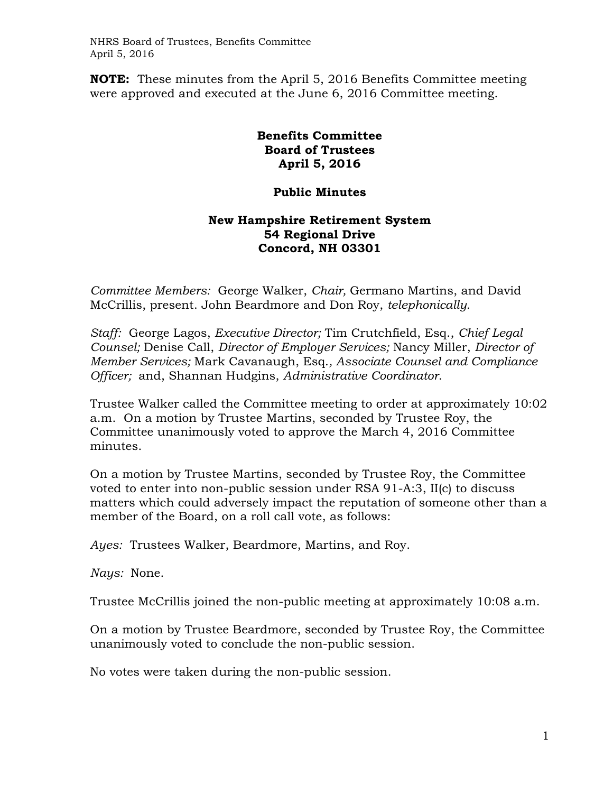NHRS Board of Trustees, Benefits Committee April 5, 2016

**NOTE:** These minutes from the April 5, 2016 Benefits Committee meeting were approved and executed at the June 6, 2016 Committee meeting.

## **Benefits Committee Board of Trustees April 5, 2016**

## **Public Minutes**

## **New Hampshire Retirement System 54 Regional Drive Concord, NH 03301**

*Committee Members:* George Walker, *Chair,* Germano Martins, and David McCrillis, present. John Beardmore and Don Roy, *telephonically.*

*Staff:* George Lagos, *Executive Director;* Tim Crutchfield, Esq., *Chief Legal Counsel;* Denise Call, *Director of Employer Services;* Nancy Miller, *Director of Member Services;* Mark Cavanaugh, Esq.*, Associate Counsel and Compliance Officer;* and, Shannan Hudgins, *Administrative Coordinator*.

Trustee Walker called the Committee meeting to order at approximately 10:02 a.m. On a motion by Trustee Martins, seconded by Trustee Roy, the Committee unanimously voted to approve the March 4, 2016 Committee minutes.

On a motion by Trustee Martins, seconded by Trustee Roy, the Committee voted to enter into non-public session under RSA 91-A:3, II(c) to discuss matters which could adversely impact the reputation of someone other than a member of the Board, on a roll call vote, as follows:

*Ayes:* Trustees Walker, Beardmore, Martins, and Roy.

*Nays:* None.

Trustee McCrillis joined the non-public meeting at approximately 10:08 a.m.

On a motion by Trustee Beardmore, seconded by Trustee Roy, the Committee unanimously voted to conclude the non-public session.

No votes were taken during the non-public session.